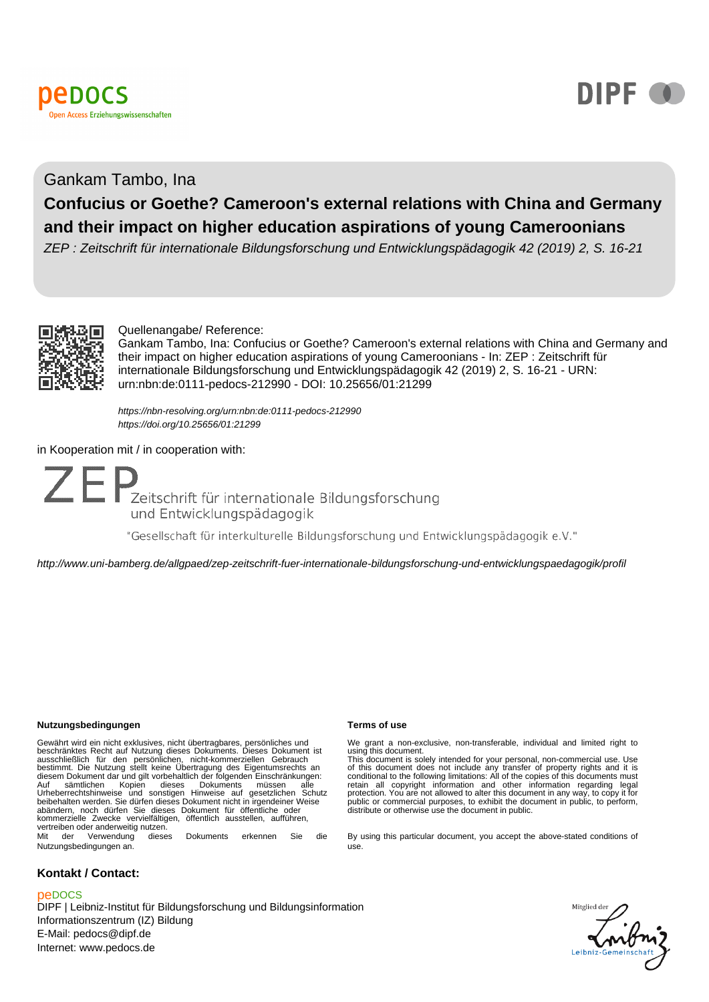



## Gankam Tambo, Ina

# **Confucius or Goethe? Cameroon's external relations with China and Germany and their impact on higher education aspirations of young Cameroonians**

ZEP : Zeitschrift für internationale Bildungsforschung und Entwicklungspädagogik 42 (2019) 2, S. 16-21



## Quellenangabe/ Reference:

Gankam Tambo, Ina: Confucius or Goethe? Cameroon's external relations with China and Germany and their impact on higher education aspirations of young Cameroonians - In: ZEP : Zeitschrift für internationale Bildungsforschung und Entwicklungspädagogik 42 (2019) 2, S. 16-21 - URN: urn:nbn:de:0111-pedocs-212990 - DOI: 10.25656/01:21299

<https://nbn-resolving.org/urn:nbn:de:0111-pedocs-212990> <https://doi.org/10.25656/01:21299>

## in Kooperation mit / in cooperation with:



"Gesellschaft für interkulturelle Bildungsforschung und Entwicklungspädagogik e.V."

http://www.uni-bamberg.de/allgpaed/zep-zeitschrift-fuer-internationale-bildungsforschung-und-entwicklungspaedagogik/profil

#### **Nutzungsbedingungen Terms of use**

Gewährt wird ein nicht exklusives, nicht übertragbares, persönliches und<br>beschränktes Recht auf Nutzung dieses Dokuments. Dieses Dokument ist<br>ausschließlich für den persönlichen, nicht-kommerziellen Gebrauch<br>bestimmt. Die Auf sämtlichen Kopien dieses Dokuments müssen alle Urheberrechtshinweise und sonstigen Hinweise auf gesetzlichen Schutz beibehalten werden. Sie dürfen dieses Dokument nicht in irgendeiner Weise abändern, noch dürfen Sie dieses Dokument für öffentliche oder kommerzielle Zwecke vervielfältigen, öffentlich ausstellen, aufführen, vertreiben oder anderweitig nutzen. Mit der Verwendung dieses Dokuments erkennen Sie die Nutzungsbedingungen an.

## **Kontakt / Contact:**

## peDOCS

DIPF | Leibniz-Institut für Bildungsforschung und Bildungsinformation Informationszentrum (IZ) Bildung E-Mail: pedocs@dipf.de Internet: www.pedocs.de

We grant a non-exclusive, non-transferable, individual and limited right to

using this document.<br>This document is solely intended for your personal, non-commercial use. Use<br>of this document is solely intended for your personal, non-commercial use. Use<br>of this document does not include any transfer

By using this particular document, you accept the above-stated conditions of use.

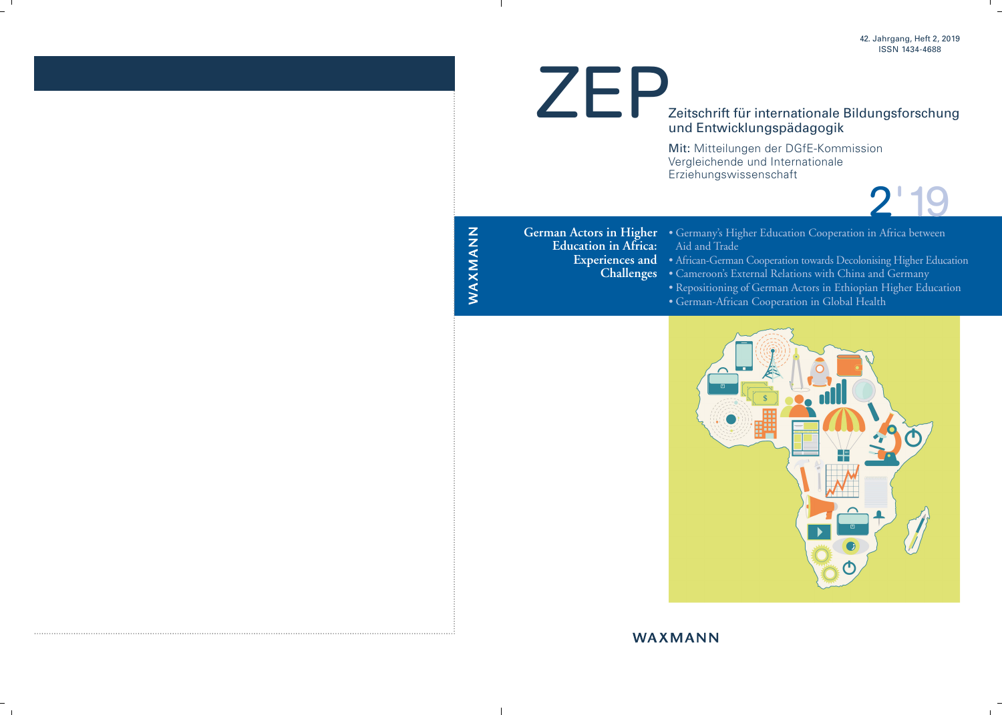

# Zeitschrift für internationale Bildungsforschung und Entwicklungspädagogik

Mit: Mitteilungen der DGfE-Kommission Vergleichende und Internationale Erziehungswissenschaft

2'19

**German Actors in Higher Education in Africa: Experiences and Challenges**

- Germany's Higher Education Cooperation in Africa between Aid and Trade
- African-German Cooperation towards Decolonising Higher Education
- Cameroon's External Relations with China and Germany
- Repositioning of German Actors in Ethiopian Higher Education
- German-African Cooperation in Global Health



# WAXMANN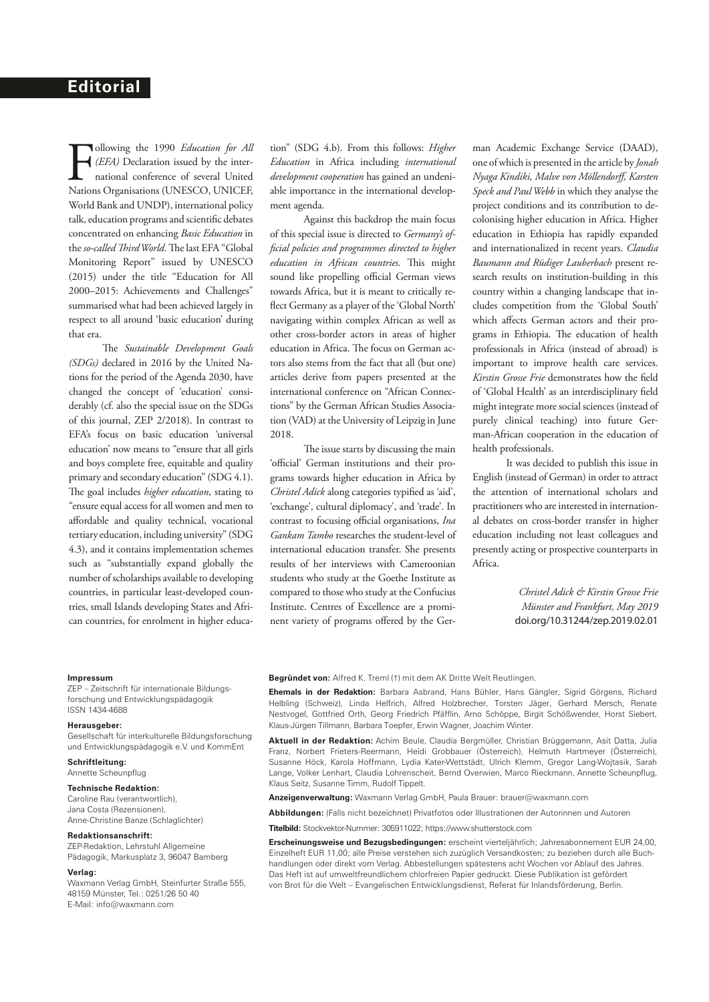**FEA** (*EFA*) Declaration issued by the international conference of several United Nations Organisations (UNESCO, UNICEF, ollowing the 1990 *Education for All (EFA)* Declaration issued by the international conference of several United World Bank and UNDP), international policy talk, education programs and scientific debates concentrated on enhancing *Basic Education* in the *so-called Third World*. The last EFA "Global Monitoring Report" issued by UNESCO (2015) under the title "Education for All 2000–2015: Achievements and Challenges" summarised what had been achieved largely in respect to all around 'basic education' during that era.

The *Sustainable Development Goals (SDGs)* declared in 2016 by the United Nations for the period of the Agenda 2030, have changed the concept of 'education' considerably (cf. also the special issue on the SDGs of this journal, ZEP 2/2018). In contrast to EFA's focus on basic education 'universal education' now means to "ensure that all girls and boys complete free, equitable and quality primary and secondary education" (SDG 4.1). The goal includes *higher education*, stating to "ensure equal access for all women and men to affordable and quality technical, vocational tertiary education, including university" (SDG 4.3), and it contains implementation schemes such as "substantially expand globally the number of scholarships available to developing countries, in particular least-developed countries, small Islands developing States and African countries, for enrolment in higher education" (SDG 4.b). From this follows: *Higher Education* in Africa including *international development cooperation* has gained an undeniable importance in the international development agenda.

Against this backdrop the main focus of this special issue is directed to *Germany's official policies and programmes directed to higher education in African countries*. This might sound like propelling official German views towards Africa, but it is meant to critically reflect Germany as a player of the 'Global North' navigating within complex African as well as other cross-border actors in areas of higher education in Africa. The focus on German actors also stems from the fact that all (but one) articles derive from papers presented at the international conference on "African Connections" by the German African Studies Association (VAD) at the University of Leipzig in June 2018.

The issue starts by discussing the main 'official' German institutions and their programs towards higher education in Africa by *Christel Adick* along categories typified as 'aid', 'exchange', cultural diplomacy', and 'trade'. In contrast to focusing official organisations, *Ina Gankam Tambo* researches the student-level of international education transfer. She presents results of her interviews with Cameroonian students who study at the Goethe Institute as compared to those who study at the Confucius Institute. Centres of Excellence are a prominent variety of programs offered by the German Academic Exchange Service (DAAD), one of which is presented in the article by *Jonah Nyaga Kindiki, Malve von Möllendorff, Karsten Speck and Paul Webb* in which they analyse the project conditions and its contribution to decolonising higher education in Africa. Higher education in Ethiopia has rapidly expanded and internationalized in recent years. *Claudia Baumann and Rüdiger Lauberbach* present research results on institution-building in this country within a changing landscape that includes competition from the 'Global South' which affects German actors and their programs in Ethiopia. The education of health professionals in Africa (instead of abroad) is important to improve health care services. *Kirstin Grosse Frie* demonstrates how the field of 'Global Health' as an interdisciplinary field might integrate more social sciences (instead of purely clinical teaching) into future German-African cooperation in the education of health professionals.

It was decided to publish this issue in English (instead of German) in order to attract the attention of international scholars and practitioners who are interested in international debates on cross-border transfer in higher education including not least colleagues and presently acting or prospective counterparts in Africa.

> *Christel Adick & Kirstin Grosse Frie Münster and Frankfurt, May 2019* doi.org/10.31244/zep.2019.02.01

#### **Impressum**

ZEP – Zeitschrift für internationale Bildungsforschung und Entwicklungspädagogik ISSN 1434-4688

#### **Herausgeber:**

Gesellschaft für interkulturelle Bildungsforschung und Entwicklungspädagogik e.V. und KommEnt

## **Schriftleitung:**

Annette Scheunpflug

#### **Technische Redaktion:** Caroline Rau (verantwortlich),

Jana Costa (Rezensionen), Anne-Christine Banze (Schlaglichter)

#### **Redaktionsanschrift:**

ZEP-Redaktion, Lehrstuhl Allgemeine Pädagogik, Markusplatz 3, 96047 Bamberg

#### **Verlag:**

Waxmann Verlag GmbH, Steinfurter Straße 555, 48159 Münster, Tel.: 0251/26 50 40 E-Mail: info@waxmann.com

**Begründet von:** Alfred K. Treml (†) mit dem AK Dritte Welt Reutlingen.

**Ehemals in der Redaktion:** Barbara Asbrand, Hans Bühler, Hans Gängler, Sigrid Görgens, Richard Helbling (Schweiz), Linda Helfrich, Alfred Holzbrecher, Torsten Jäger, Gerhard Mersch, Renate Nestvogel, Gottfried Orth, Georg Friedrich Pfäfflin, Arno Schöppe, Birgit Schößwender, Horst Siebert, Klaus-Jürgen Tillmann, Barbara Toepfer, Erwin Wagner, Joachim Winter.

**Aktuell in der Redaktion:** Achim Beule, Claudia Bergmüller, Christian Brüggemann, Asit Datta, Julia Franz, Norbert Frieters-Reermann, Heidi Grobbauer (Österreich), Helmuth Hartmeyer (Österreich), Susanne Höck, Karola Hoffmann, Lydia Kater-Wettstädt, Ulrich Klemm, Gregor Lang-Wojtasik, Sarah Lange, Volker Lenhart, Claudia Lohrenscheit, Bernd Overwien, Marco Rieckmann, Annette Scheunpflug, Klaus Seitz, Susanne Timm, Rudolf Tippelt.

**Anzeigenverwaltung:** Waxmann Verlag GmbH, Paula Brauer: brauer@waxmann.com

**Abbildungen:** (Falls nicht bezeichnet) Privatfotos oder Illustrationen der Autorinnen und Autoren

**Titelbild:** Stockvektor-Nummer: 305911022; https://www.shutterstock.com

**Erscheinungsweise und Bezugsbedingungen:** erscheint vierteljährlich; Jahresabonnement EUR 24,00, Einzelheft EUR 11,00; alle Preise verstehen sich zuzüglich Versandkosten; zu beziehen durch alle Buchhandlungen oder direkt vom Verlag. Abbestellungen spätestens acht Wochen vor Ablauf des Jahres. Das Heft ist auf umweltfreundlichem chlorfreien Papier gedruckt. Diese Publikation ist gefördert von Brot für die Welt – Evangelischen Entwicklungsdienst, Referat für Inlandsförderung, Berlin.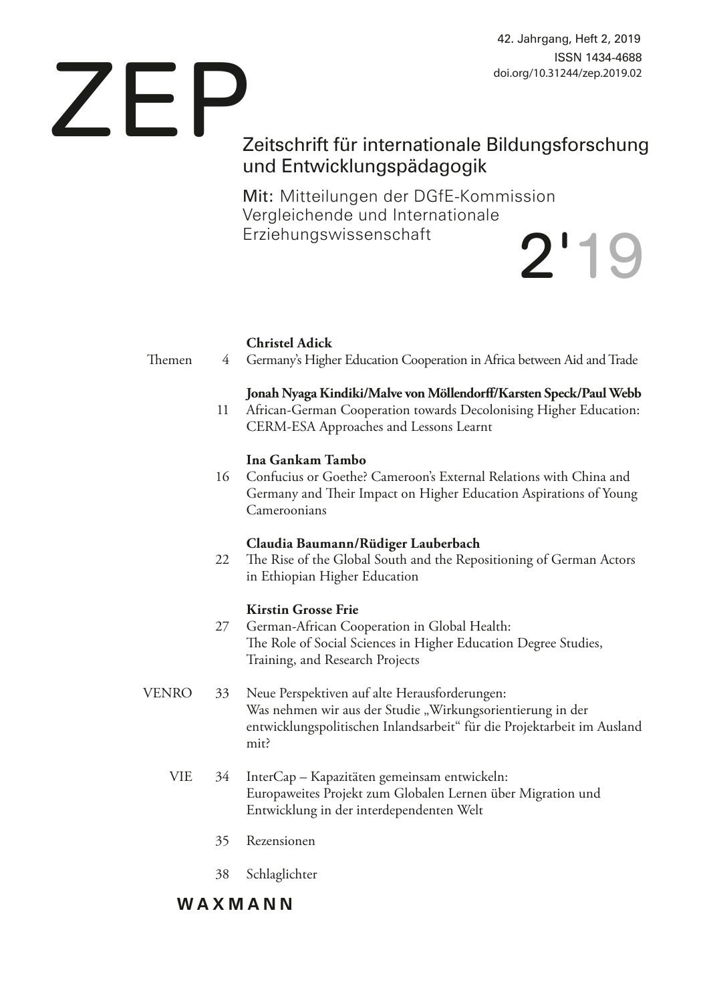42. Jahrgang, Heft 2, 2019 ISSN 1434-4688 doi.org/10.31244/zep.2019.02

# Zeitschrift für internationale Bildungsforschung und Entwicklungspädagogik ZEP

Mit: Mitteilungen der DGfE-Kommission Vergleichende und Internationale Erziehungswissenschaft 2'19

## **Christel Adick**

Themen 4 Germany's Higher Education Cooperation in Africa between Aid and Trade

## **Jonah Nyaga Kindiki/Malve von Möllendorff/Karsten Speck/Paul Webb**

11 African-German Cooperation towards Decolonising Higher Education: CERM-ESA Approaches and Lessons Learnt

## **Ina Gankam Tambo**

16 Confucius or Goethe? Cameroon's External Relations with China and Germany and Their Impact on Higher Education Aspirations of Young Cameroonians

## **Claudia Baumann/Rüdiger Lauberbach**

22 The Rise of the Global South and the Repositioning of German Actors in Ethiopian Higher Education

## **Kirstin Grosse Frie**

- 27 German-African Cooperation in Global Health: The Role of Social Sciences in Higher Education Degree Studies, Training, and Research Projects
- VENRO 33 Neue Perspektiven auf alte Herausforderungen: Was nehmen wir aus der Studie "Wirkungsorientierung in der entwicklungspolitischen Inlandsarbeit" für die Projektarbeit im Ausland mit?
	- VIE 34 InterCap Kapazitäten gemeinsam entwickeln: Europaweites Projekt zum Globalen Lernen über Migration und Entwicklung in der interdependenten Welt
		- 35 Rezensionen
		- 38 Schlaglichter

## **WAXMANN**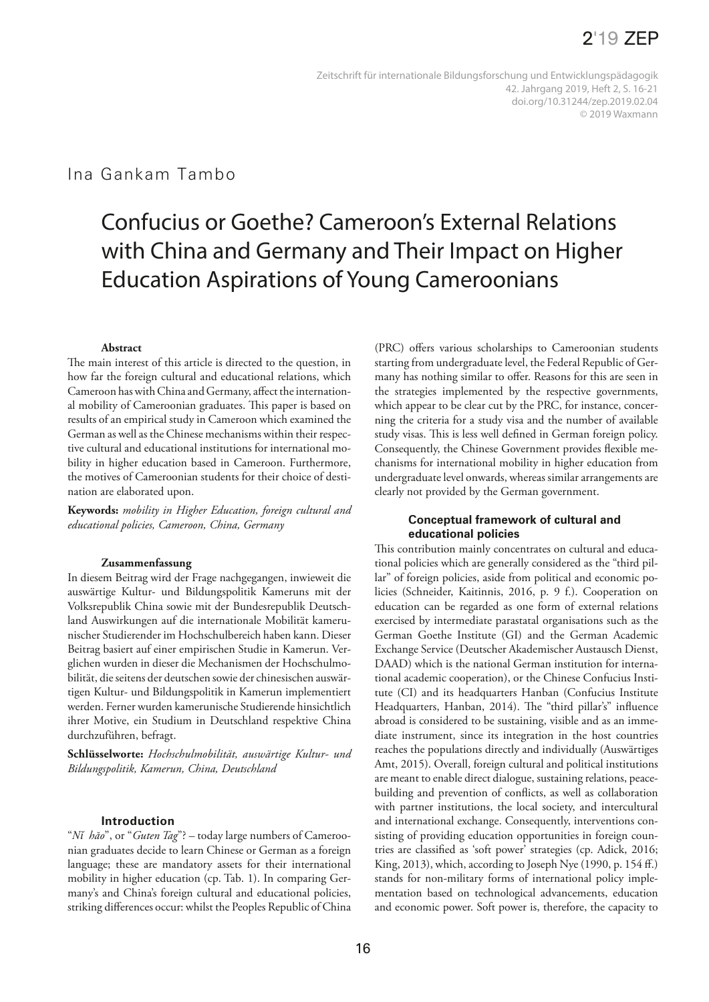## Ina Gankam Tambo

# Confucius or Goethe? Cameroon's External Relations with China and Germany and Their Impact on Higher Education Aspirations of Young Cameroonians

## **Abstract**

The main interest of this article is directed to the question, in how far the foreign cultural and educational relations, which Cameroon has with China and Germany, affect the international mobility of Cameroonian graduates. This paper is based on results of an empirical study in Cameroon which examined the German as well as the Chinese mechanisms within their respective cultural and educational institutions for international mobility in higher education based in Cameroon. Furthermore, the motives of Cameroonian students for their choice of destination are elaborated upon.

**Keywords:** *mobility in Higher Education, foreign cultural and educational policies, Cameroon, China, Germany*

## **Zusammenfassung**

In diesem Beitrag wird der Frage nachgegangen, inwieweit die auswärtige Kultur- und Bildungspolitik Kameruns mit der Volksrepublik China sowie mit der Bundesrepublik Deutschland Auswirkungen auf die internationale Mobilität kamerunischer Studierender im Hochschulbereich haben kann. Dieser Beitrag basiert auf einer empirischen Studie in Kamerun. Verglichen wurden in dieser die Mechanismen der Hochschulmobilität, die seitens der deutschen sowie der chinesischen auswärtigen Kultur- und Bildungspolitik in Kamerun implementiert werden. Ferner wurden kamerunische Studierende hinsichtlich ihrer Motive, ein Studium in Deutschland respektive China durchzuführen, befragt.

**Schlüsselworte:** *Hochschulmobilität, auswärtige Kultur- und Bildungspolitik, Kamerun, China, Deutschland*

## **Introduction**

"*Nĭ hăo*", or "*Guten Tag*"? – today large numbers of Cameroonian graduates decide to learn Chinese or German as a foreign language; these are mandatory assets for their international mobility in higher education (cp. Tab. 1). In comparing Germany's and China's foreign cultural and educational policies, striking differences occur: whilst the Peoples Republic of China

(PRC) offers various scholarships to Cameroonian students starting from undergraduate level, the Federal Republic of Germany has nothing similar to offer. Reasons for this are seen in the strategies implemented by the respective governments, which appear to be clear cut by the PRC, for instance, concerning the criteria for a study visa and the number of available study visas. This is less well defined in German foreign policy. Consequently, the Chinese Government provides flexible mechanisms for international mobility in higher education from undergraduate level onwards, whereas similar arrangements are clearly not provided by the German government.

## **Conceptual framework of cultural and educational policies**

This contribution mainly concentrates on cultural and educational policies which are generally considered as the "third pillar" of foreign policies, aside from political and economic policies (Schneider, Kaitinnis, 2016, p. 9 f.). Cooperation on education can be regarded as one form of external relations exercised by intermediate parastatal organisations such as the German Goethe Institute (GI) and the German Academic Exchange Service (Deutscher Akademischer Austausch Dienst, DAAD) which is the national German institution for international academic cooperation), or the Chinese Confucius Institute (CI) and its headquarters Hanban (Confucius Institute Headquarters, Hanban, 2014). The "third pillar's" influence abroad is considered to be sustaining, visible and as an immediate instrument, since its integration in the host countries reaches the populations directly and individually (Auswärtiges Amt, 2015). Overall, foreign cultural and political institutions are meant to enable direct dialogue, sustaining relations, peacebuilding and prevention of conflicts, as well as collaboration with partner institutions, the local society, and intercultural and international exchange. Consequently, interventions consisting of providing education opportunities in foreign countries are classified as 'soft power' strategies (cp. Adick, 2016; King, 2013), which, according to Joseph Nye (1990, p. 154 ff.) stands for non-military forms of international policy implementation based on technological advancements, education and economic power. Soft power is, therefore, the capacity to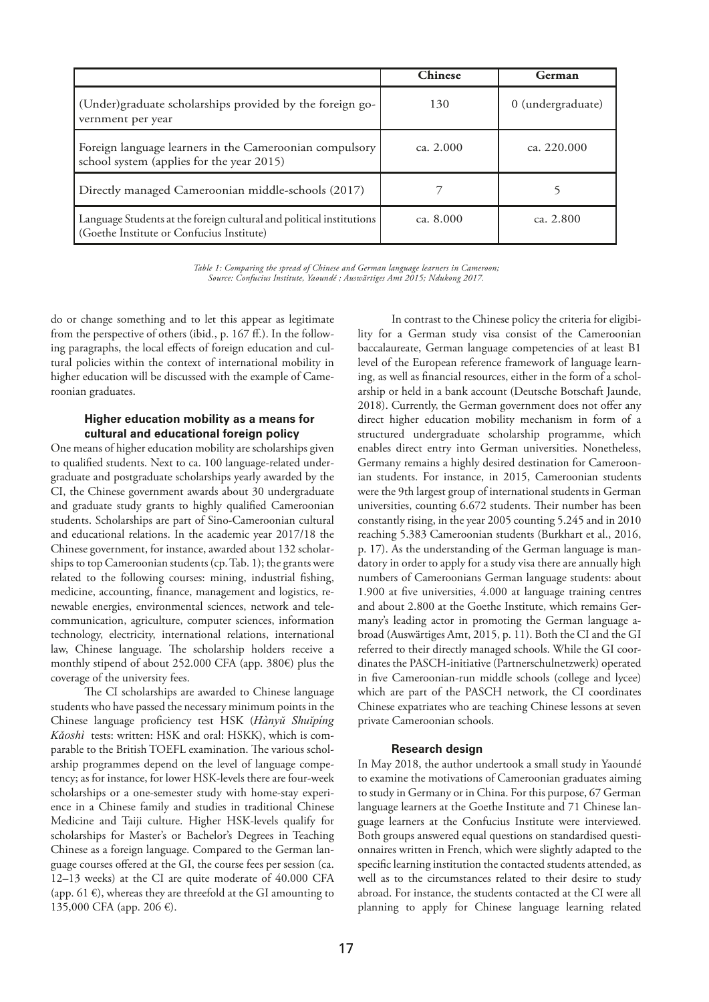|                                                                                                                   | <b>Chinese</b> | German            |
|-------------------------------------------------------------------------------------------------------------------|----------------|-------------------|
| (Under) graduate scholarships provided by the foreign go-<br>vernment per year                                    | 130            | 0 (undergraduate) |
| Foreign language learners in the Cameroonian compulsory<br>school system (applies for the year 2015)              | ca. $2.000$    | ca. 220.000       |
| Directly managed Cameroonian middle-schools (2017)                                                                |                |                   |
| Language Students at the foreign cultural and political institutions<br>(Goethe Institute or Confucius Institute) | ca. $8.000$    | ca. $2.800$       |

*Table 1: Comparing the spread of Chinese and German language learners in Cameroon; Source: Confucius Institute, Yaoundé ; Auswärtiges Amt 2015; Ndukong 2017.*

do or change something and to let this appear as legitimate from the perspective of others (ibid., p. 167 ff.). In the following paragraphs, the local effects of foreign education and cultural policies within the context of international mobility in higher education will be discussed with the example of Cameroonian graduates.

## **Higher education mobility as a means for cultural and educational foreign policy**

One means of higher education mobility are scholarships given to qualified students. Next to ca. 100 language-related undergraduate and postgraduate scholarships yearly awarded by the CI, the Chinese government awards about 30 undergraduate and graduate study grants to highly qualified Cameroonian students. Scholarships are part of Sino-Cameroonian cultural and educational relations. In the academic year 2017/18 the Chinese government, for instance, awarded about 132 scholarships to top Cameroonian students (cp. Tab. 1); the grants were related to the following courses: mining, industrial fishing, medicine, accounting, finance, management and logistics, renewable energies, environmental sciences, network and telecommunication, agriculture, computer sciences, information technology, electricity, international relations, international law, Chinese language. The scholarship holders receive a monthly stipend of about 252.000 CFA (app. 380€) plus the coverage of the university fees.

The CI scholarships are awarded to Chinese language students who have passed the necessary minimum points in the Chinese language proficiency test HSK (*Hànyǔ Shuǐpíng Kǎoshì* tests: written: HSK and oral: HSKK), which is comparable to the British TOEFL examination. The various scholarship programmes depend on the level of language competency; as for instance, for lower HSK-levels there are four-week scholarships or a one-semester study with home-stay experience in a Chinese family and studies in traditional Chinese Medicine and Taiji culture. Higher HSK-levels qualify for scholarships for Master's or Bachelor's Degrees in Teaching Chinese as a foreign language. Compared to the German language courses offered at the GI, the course fees per session (ca. 12–13 weeks) at the CI are quite moderate of 40.000 CFA (app. 61 $\epsilon$ ), whereas they are threefold at the GI amounting to 135,000 CFA (app. 206 €).

In contrast to the Chinese policy the criteria for eligibility for a German study visa consist of the Cameroonian baccalaureate, German language competencies of at least B1 level of the European reference framework of language learning, as well as financial resources, either in the form of a scholarship or held in a bank account (Deutsche Botschaft Jaunde, 2018). Currently, the German government does not offer any direct higher education mobility mechanism in form of a structured undergraduate scholarship programme, which enables direct entry into German universities. Nonetheless, Germany remains a highly desired destination for Cameroonian students. For instance, in 2015, Cameroonian students were the 9th largest group of international students in German universities, counting 6.672 students. Their number has been constantly rising, in the year 2005 counting 5.245 and in 2010 reaching 5.383 Cameroonian students (Burkhart et al., 2016, p. 17). As the understanding of the German language is mandatory in order to apply for a study visa there are annually high numbers of Cameroonians German language students: about 1.900 at five universities, 4.000 at language training centres and about 2.800 at the Goethe Institute, which remains Germany's leading actor in promoting the German language abroad (Auswärtiges Amt, 2015, p. 11). Both the CI and the GI referred to their directly managed schools. While the GI coordinates the PASCH-initiative (Partnerschulnetzwerk) operated in five Cameroonian-run middle schools (college and lycee) which are part of the PASCH network, the CI coordinates Chinese expatriates who are teaching Chinese lessons at seven private Cameroonian schools.

## **Research design**

In May 2018, the author undertook a small study in Yaoundé to examine the motivations of Cameroonian graduates aiming to study in Germany or in China. For this purpose, 67 German language learners at the Goethe Institute and 71 Chinese language learners at the Confucius Institute were interviewed. Both groups answered equal questions on standardised questionnaires written in French, which were slightly adapted to the specific learning institution the contacted students attended, as well as to the circumstances related to their desire to study abroad. For instance, the students contacted at the CI were all planning to apply for Chinese language learning related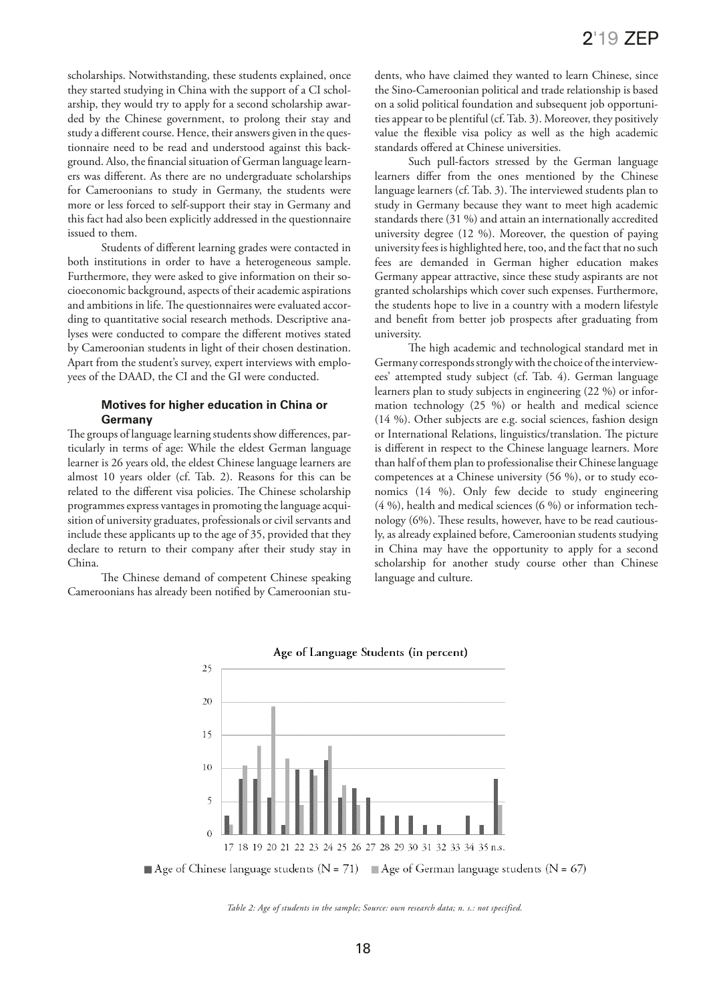scholarships. Notwithstanding, these students explained, once they started studying in China with the support of a CI scholarship, they would try to apply for a second scholarship awarded by the Chinese government, to prolong their stay and study a different course. Hence, their answers given in the questionnaire need to be read and understood against this background. Also, the financial situation of German language learners was different. As there are no undergraduate scholarships for Cameroonians to study in Germany, the students were more or less forced to self-support their stay in Germany and this fact had also been explicitly addressed in the questionnaire issued to them.

Students of different learning grades were contacted in both institutions in order to have a heterogeneous sample. Furthermore, they were asked to give information on their socioeconomic background, aspects of their academic aspirations and ambitions in life. The questionnaires were evaluated according to quantitative social research methods. Descriptive analyses were conducted to compare the different motives stated by Cameroonian students in light of their chosen destination. Apart from the student's survey, expert interviews with employees of the DAAD, the CI and the GI were conducted.

## **Motives for higher education in China or Germany**

The groups of language learning students show differences, particularly in terms of age: While the eldest German language learner is 26 years old, the eldest Chinese language learners are almost 10 years older (cf. Tab. 2). Reasons for this can be related to the different visa policies. The Chinese scholarship programmes express vantages in promoting the language acquisition of university graduates, professionals or civil servants and include these applicants up to the age of 35, provided that they declare to return to their company after their study stay in China.

The Chinese demand of competent Chinese speaking Cameroonians has already been notified by Cameroonian students, who have claimed they wanted to learn Chinese, since the Sino-Cameroonian political and trade relationship is based on a solid political foundation and subsequent job opportunities appear to be plentiful (cf. Tab. 3). Moreover, they positively value the flexible visa policy as well as the high academic standards offered at Chinese universities.

Such pull-factors stressed by the German language learners differ from the ones mentioned by the Chinese language learners (cf. Tab. 3). The interviewed students plan to study in Germany because they want to meet high academic standards there (31 %) and attain an internationally accredited university degree (12 %). Moreover, the question of paying university fees is highlighted here, too, and the fact that no such fees are demanded in German higher education makes Germany appear attractive, since these study aspirants are not granted scholarships which cover such expenses. Furthermore, the students hope to live in a country with a modern lifestyle and benefit from better job prospects after graduating from university.

The high academic and technological standard met in Germany corresponds strongly with the choice of the interviewees' attempted study subject (cf. Tab. 4). German language learners plan to study subjects in engineering (22 %) or information technology (25 %) or health and medical science (14 %). Other subjects are e.g. social sciences, fashion design or International Relations, linguistics/translation. The picture is different in respect to the Chinese language learners. More than half of them plan to professionalise their Chinese language competences at a Chinese university (56 %), or to study economics (14 %). Only few decide to study engineering (4 %), health and medical sciences (6 %) or information technology (6%). These results, however, have to be read cautiously, as already explained before, Cameroonian students studying in China may have the opportunity to apply for a second scholarship for another study course other than Chinese language and culture.



Age of Chinese language students ( $N = 71$ ) Age of German language students ( $N = 67$ )

*Table 2: Age of students in the sample; Source: own research data; n. s.: not specified.*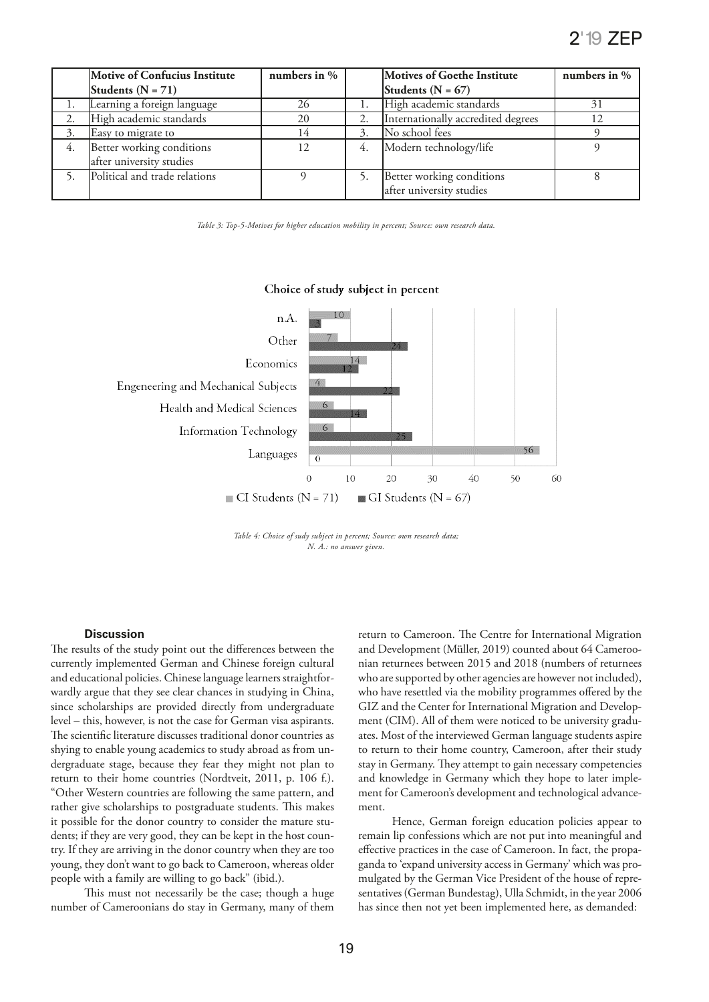|    | <b>Motive of Confucius Institute</b> | numbers in $%$ |    | Motives of Goethe Institute        | numbers in $%$ |
|----|--------------------------------------|----------------|----|------------------------------------|----------------|
|    | Students ( $N = 71$ )                |                |    | Students ( $N = 67$ )              |                |
|    | Learning a foreign language          | 26             |    | High academic standards            | 31             |
|    | High academic standards              | 20             |    | Internationally accredited degrees | 12             |
| 3. | Easy to migrate to                   | 14             |    | No school fees                     |                |
| 4. | Better working conditions            | 12             | 4. | Modern technology/life             |                |
|    | after university studies             |                |    |                                    |                |
|    | Political and trade relations        |                |    | Better working conditions          |                |
|    |                                      |                |    | after university studies           |                |

*Table 3: Top-5-Motives for higher education mobility in percent; Source: own research data.*

#### $n.A$ Other  $14<sup>1</sup>$ Economics Engeneering and Mechanical Subjects 6 Health and Medical Sciences 6 Information Technology 56 Languages  $\overline{0}$  $\Omega$  $10$ 20 30 40 50 60 CI Students ( $N = 71$ ) GI Students ( $N = 67$ )

## Choice of study subject in percent

*Table 4: Choice of sudy subject in percent; Source: own research data; N. A.: no answer given.*

## **Discussion**

The results of the study point out the differences between the currently implemented German and Chinese foreign cultural and educational policies. Chinese language learners straightforwardly argue that they see clear chances in studying in China, since scholarships are provided directly from undergraduate level – this, however, is not the case for German visa aspirants. The scientific literature discusses traditional donor countries as shying to enable young academics to study abroad as from undergraduate stage, because they fear they might not plan to return to their home countries (Nordtveit, 2011, p. 106 f.). "Other Western countries are following the same pattern, and rather give scholarships to postgraduate students. This makes it possible for the donor country to consider the mature students; if they are very good, they can be kept in the host country. If they are arriving in the donor country when they are too young, they don't want to go back to Cameroon, whereas older people with a family are willing to go back" (ibid.).

This must not necessarily be the case; though a huge number of Cameroonians do stay in Germany, many of them return to Cameroon. The Centre for International Migration and Development (Müller, 2019) counted about 64 Cameroonian returnees between 2015 and 2018 (numbers of returnees who are supported by other agencies are however not included), who have resettled via the mobility programmes offered by the GIZ and the Center for International Migration and Development (CIM). All of them were noticed to be university graduates. Most of the interviewed German language students aspire to return to their home country, Cameroon, after their study stay in Germany. They attempt to gain necessary competencies and knowledge in Germany which they hope to later implement for Cameroon's development and technological advancement.

Hence, German foreign education policies appear to remain lip confessions which are not put into meaningful and effective practices in the case of Cameroon. In fact, the propaganda to 'expand university access in Germany' which was promulgated by the German Vice President of the house of representatives (German Bundestag), Ulla Schmidt, in the year 2006 has since then not yet been implemented here, as demanded: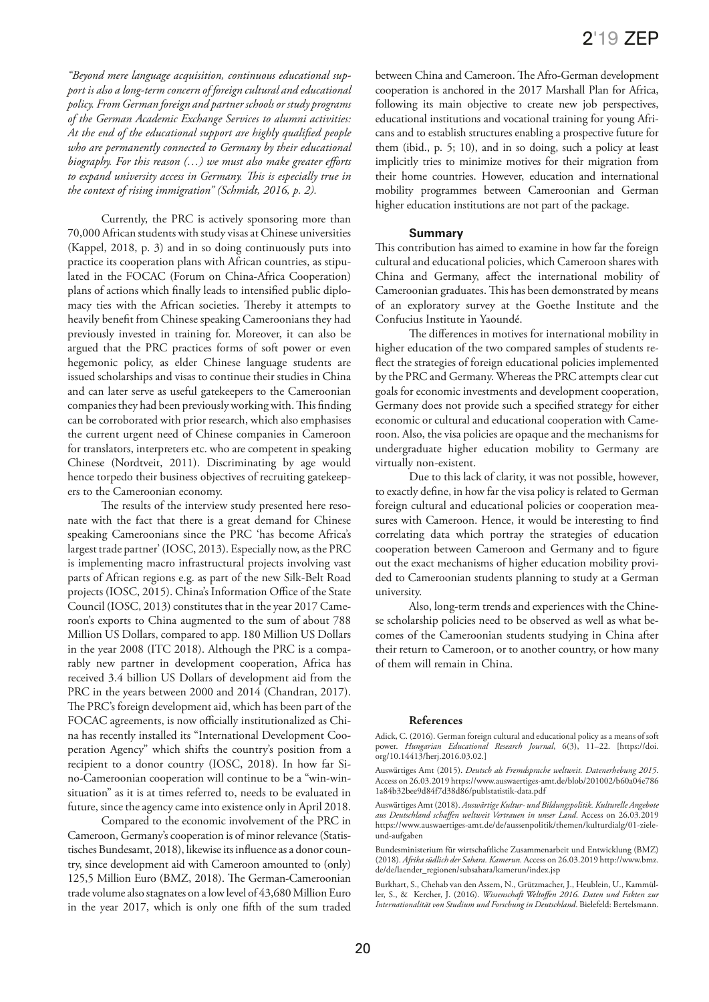*"Beyond mere language acquisition, continuous educational support is also a long-term concern of foreign cultural and educational policy. From German foreign and partner schools or study programs of the German Academic Exchange Services to alumni activities: At the end of the educational support are highly qualified people who are permanently connected to Germany by their educational biography. For this reason (…) we must also make greater efforts to expand university access in Germany. This is especially true in the context of rising immigration" (Schmidt, 2016, p. 2).*

Currently, the PRC is actively sponsoring more than 70,000 African students with study visas at Chinese universities (Kappel, 2018, p. 3) and in so doing continuously puts into practice its cooperation plans with African countries, as stipulated in the FOCAC (Forum on China-Africa Cooperation) plans of actions which finally leads to intensified public diplomacy ties with the African societies. Thereby it attempts to heavily benefit from Chinese speaking Cameroonians they had previously invested in training for. Moreover, it can also be argued that the PRC practices forms of soft power or even hegemonic policy, as elder Chinese language students are issued scholarships and visas to continue their studies in China and can later serve as useful gatekeepers to the Cameroonian companies they had been previously working with. This finding can be corroborated with prior research, which also emphasises the current urgent need of Chinese companies in Cameroon for translators, interpreters etc. who are competent in speaking Chinese (Nordtveit, 2011). Discriminating by age would hence torpedo their business objectives of recruiting gatekeepers to the Cameroonian economy.

The results of the interview study presented here resonate with the fact that there is a great demand for Chinese speaking Cameroonians since the PRC 'has become Africa's largest trade partner' (IOSC, 2013). Especially now, as the PRC is implementing macro infrastructural projects involving vast parts of African regions e.g. as part of the new Silk-Belt Road projects (IOSC, 2015). China's Information Office of the State Council (IOSC, 2013) constitutes that in the year 2017 Cameroon's exports to China augmented to the sum of about 788 Million US Dollars, compared to app. 180 Million US Dollars in the year 2008 (ITC 2018). Although the PRC is a comparably new partner in development cooperation, Africa has received 3.4 billion US Dollars of development aid from the PRC in the years between 2000 and 2014 (Chandran, 2017). The PRC's foreign development aid, which has been part of the FOCAC agreements, is now officially institutionalized as China has recently installed its "International Development Cooperation Agency" which shifts the country's position from a recipient to a donor country (IOSC, 2018). In how far Sino-Cameroonian cooperation will continue to be a "win-winsituation" as it is at times referred to, needs to be evaluated in future, since the agency came into existence only in April 2018.

Compared to the economic involvement of the PRC in Cameroon, Germany's cooperation is of minor relevance (Statistisches Bundesamt, 2018), likewise its influence as a donor country, since development aid with Cameroon amounted to (only) 125,5 Million Euro (BMZ, 2018). The German-Cameroonian trade volume also stagnates on a low level of 43,680 Million Euro in the year 2017, which is only one fifth of the sum traded between China and Cameroon. The Afro-German development cooperation is anchored in the 2017 Marshall Plan for Africa, following its main objective to create new job perspectives, educational institutions and vocational training for young Africans and to establish structures enabling a prospective future for them (ibid., p. 5; 10), and in so doing, such a policy at least implicitly tries to minimize motives for their migration from their home countries. However, education and international mobility programmes between Cameroonian and German higher education institutions are not part of the package.

## **Summary**

This contribution has aimed to examine in how far the foreign cultural and educational policies, which Cameroon shares with China and Germany, affect the international mobility of Cameroonian graduates. This has been demonstrated by means of an exploratory survey at the Goethe Institute and the Confucius Institute in Yaoundé.

The differences in motives for international mobility in higher education of the two compared samples of students reflect the strategies of foreign educational policies implemented by the PRC and Germany. Whereas the PRC attempts clear cut goals for economic investments and development cooperation, Germany does not provide such a specified strategy for either economic or cultural and educational cooperation with Cameroon. Also, the visa policies are opaque and the mechanisms for undergraduate higher education mobility to Germany are virtually non-existent.

Due to this lack of clarity, it was not possible, however, to exactly define, in how far the visa policy is related to German foreign cultural and educational policies or cooperation measures with Cameroon. Hence, it would be interesting to find correlating data which portray the strategies of education cooperation between Cameroon and Germany and to figure out the exact mechanisms of higher education mobility provided to Cameroonian students planning to study at a German university.

Also, long-term trends and experiences with the Chinese scholarship policies need to be observed as well as what becomes of the Cameroonian students studying in China after their return to Cameroon, or to another country, or how many of them will remain in China.

#### **References**

Adick, C. (2016). German foreign cultural and educational policy as a means of soft power. *Hungarian Educational Research Journal*, 6(3), 11–22. [https://doi. org/10.14413/herj.2016.03.02.]

Auswärtiges Amt (2015). *Deutsch als Fremdsprache weltweit. Datenerhebung 2015*. Access on 26.03.2019 https://www.auswaertiges-amt.de/blob/201002/b60a04e786 1a84b32bee9d84f7d38d86/publstatistik-data.pdf

Auswärtiges Amt (2018). *Auswärtige Kultur- und Bildungspolitik. Kulturelle Angebote aus Deutschland schaffen weltweit Vertrauen in unser Land*. Access on 26.03.2019 https://www.auswaertiges-amt.de/de/aussenpolitik/themen/kulturdialg/01-zieleund-aufgaben

Bundesministerium für wirtschaftliche Zusammenarbeit und Entwicklung (BMZ) (2018). *Afrika südlich der Sahara. Kamerun.* Access on 26.03.2019 http://www.bmz. de/de/laender\_regionen/subsahara/kamerun/index.jsp

Burkhart, S., Chehab van den Assem, N., Grützmacher, J., Heublein, U., Kammüller, S., & Kercher, J. (2016). *Wissenschaft Weltoffen 2016. Daten und Fakten zur Internationalität von Studium und Forschung in Deutschland*. Bielefeld: Bertelsmann.